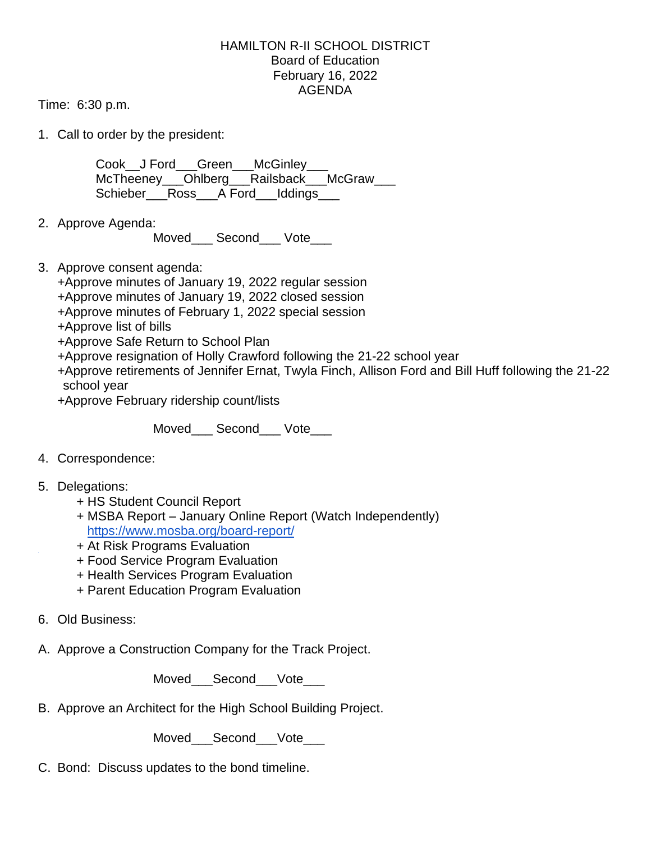## HAMILTON R-II SCHOOL DISTRICT Board of Education February 16, 2022 AGENDA

Time: 6:30 p.m.

1. Call to order by the president:

Cook J Ford Green McGinley McTheeney\_\_\_Ohlberg\_\_\_Railsback\_\_\_McGraw\_\_\_ Schieber Ross A Ford Iddings

2. Approve Agenda:

Moved\_\_\_ Second\_\_\_ Vote\_\_\_

3. Approve consent agenda:

+Approve minutes of January 19, 2022 regular session +Approve minutes of January 19, 2022 closed session

- +Approve minutes of February 1, 2022 special session
- +Approve list of bills

+Approve Safe Return to School Plan

+Approve resignation of Holly Crawford following the 21-22 school year

+Approve retirements of Jennifer Ernat, Twyla Finch, Allison Ford and Bill Huff following the 21-22 school year

+Approve February ridership count/lists

Moved Second Vote

- 4. Correspondence:
- 5. Delegations:
	- + HS Student Council Report
	- + MSBA Report January Online Report (Watch Independently) <https://www.mosba.org/board-report/>
	- + At Risk Programs Evaluation
	- + Food Service Program Evaluation
	- + Health Services Program Evaluation
	- + Parent Education Program Evaluation
- 6. Old Business:

A. Approve a Construction Company for the Track Project.

Moved Second Vote

B. Approve an Architect for the High School Building Project.

Moved Second Vote

C. Bond: Discuss updates to the bond timeline.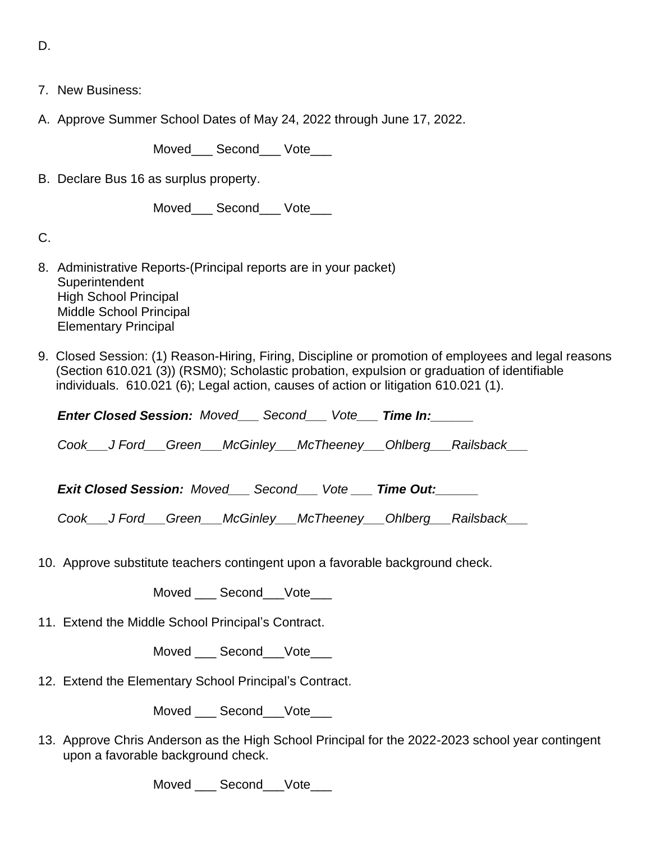D.

- 7. New Business:
- A. Approve Summer School Dates of May 24, 2022 through June 17, 2022.

Moved\_\_\_ Second\_\_\_ Vote\_\_\_

B. Declare Bus 16 as surplus property.

Moved\_\_\_ Second\_\_\_ Vote\_\_\_

C.

- 8. Administrative Reports-(Principal reports are in your packet) **Superintendent** High School Principal Middle School Principal Elementary Principal
- 9. Closed Session: (1) Reason-Hiring, Firing, Discipline or promotion of employees and legal reasons (Section 610.021 (3)) (RSM0); Scholastic probation, expulsion or graduation of identifiable individuals. 610.021 (6); Legal action, causes of action or litigation 610.021 (1).

*Enter Closed Session: Moved\_\_\_ Second\_\_\_ Vote\_\_\_ Time In:\_\_\_\_\_\_*

*Cook\_\_\_J Ford\_\_\_Green\_\_\_McGinley\_\_\_McTheeney\_\_\_Ohlberg\_\_\_Railsback\_\_\_* 

*Exit Closed Session: Moved\_\_\_ Second\_\_\_ Vote \_\_\_ Time Out:\_\_\_\_\_\_*

*Cook\_\_\_J Ford\_\_\_Green\_\_\_McGinley\_\_\_McTheeney\_\_\_Ohlberg\_\_\_Railsback\_\_\_*

10. Approve substitute teachers contingent upon a favorable background check.

Moved Second Vote

11. Extend the Middle School Principal's Contract.

Moved Second Vote

12. Extend the Elementary School Principal's Contract.

Moved Second Vote

13. Approve Chris Anderson as the High School Principal for the 2022-2023 school year contingent upon a favorable background check.

Moved Second Vote